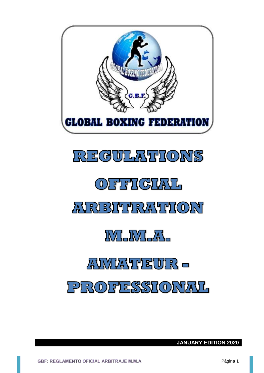

# **REGULATIONS**

# OFFICIAL

# **AIRIBITTRATTION**

**IVILIVILAL** 

# AWWAYTEWR -

# PROFESSIONAL

**JANUARY EDITION 2020**

GBF: REGLAMENTO OFICIAL ARBITRAJE M.M.A.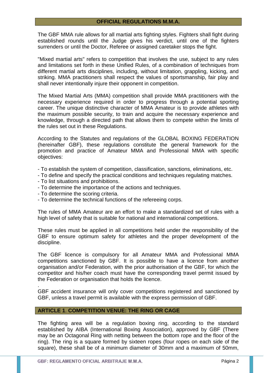## **OFFICIAL REGULATIONS M.M.A.**

The GBF MMA rule allows for all martial arts fighting styles. Fighters shall fight during established rounds until the Judge gives his verdict, until one of the fighters surrenders or until the Doctor, Referee or assigned caretaker stops the fight.

"Mixed martial arts" refers to competition that involves the use, subject to any rules and limitations set forth in these Unified Rules, of a combination of techniques from different martial arts disciplines, including, without limitation, grappling, kicking, and striking. MMA practitioners shall respect the values of sportsmanship, fair play and shall never intentionally injure their opponent in competition.

The Mixed Martial Arts (MMA) competition shall provide MMA practitioners with the necessary experience required in order to progress through a potential sporting career. The unique distinctive character of MMA Amateur is to provide athletes with the maximum possible security, to train and acquire the necessary experience and knowledge, through a directed path that allows them to compete within the limits of the rules set out in these Regulations.

According to the Statutes and regulations of the GLOBAL BOXING FEDERATION (hereinafter GBF), these regulations constitute the general framework for the promotion and practice of Amateur MMA and Professional MMA with specific objectives:

- To establish the system of competition, classification, sanctions, eliminations, etc.
- To define and specify the practical conditions and techniques regulating matches.
- To list situations and prohibitions.
- To determine the importance of the actions and techniques.
- To determine the scoring criteria.

.

- To determine the technical functions of the refereeing corps.

The rules of MMA Amateur are an effort to make a standardized set of rules with a high level of safety that is suitable for national and international competitions.

These rules must be applied in all competitions held under the responsibility of the GBF to ensure optimum safety for athletes and the proper development of the discipline.

The GBF licence is compulsory for all Amateur MMA and Professional MMA competitions sanctioned by GBF. It is possible to have a licence from another organisation and/or Federation, with the prior authorisation of the GBF, for which the competitor and his/her coach must have the corresponding travel permit issued by the Federation or organisation that holds the licence.

GBF accident insurance will only cover competitions registered and sanctioned by GBF, unless a travel permit is available with the express permission of GBF.

## **ARTICLE 1**. **COMPETITION VENUE: THE RING OR CAGE**

The fighting area will be a regulation boxing ring, according to the standard established by AIBA (International Boxing Association), approved by GBF (There may be an Octagonal Ring with netting between the bottom rope and the floor of the ring). The ring is a square formed by sixteen ropes (four ropes on each side of the square), these shall be of a minimum diameter of 30mm and a maximum of 50mm,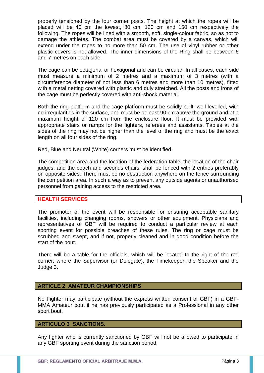properly tensioned by the four corner posts. The height at which the ropes will be placed will be 40 cm the lowest, 80 cm, 120 cm and 150 cm respectively the following. The ropes will be lined with a smooth, soft, single-colour fabric, so as not to damage the athletes. The combat area must be covered by a canvas, which will extend under the ropes to no more than 50 cm. The use of vinyl rubber or other plastic covers is not allowed. The inner dimensions of the Ring shall be between 6 and 7 metres on each side.

The cage can be octagonal or hexagonal and can be circular. In all cases, each side must measure a minimum of 2 metres and a maximum of 3 metres (with a circumference diameter of not less than 6 metres and more than 10 metres), fitted with a metal netting covered with plastic and duly stretched. All the posts and irons of the cage must be perfectly covered with anti-shock material.

Both the ring platform and the cage platform must be solidly built, well levelled, with no irregularities in the surface, and must be at least 90 cm above the ground and at a maximum height of 120 cm from the enclosure floor. It must be provided with appropriate stairs or ramps for the fighters, referees and assistants. Tables at the sides of the ring may not be higher than the level of the ring and must be the exact length on all four sides of the ring.

Red, Blue and Neutral (White) corners must be identified.

The competition area and the location of the federation table, the location of the chair judges, and the coach and seconds chairs, shall be fenced with 2 entries preferably on opposite sides. There must be no obstruction anywhere on the fence surrounding the competition area. In such a way as to prevent any outside agents or unauthorised personnel from gaining access to the restricted area.

## **HEALTH SERVICES**

The promoter of the event will be responsible for ensuring acceptable sanitary facilities, including changing rooms, showers or other equipment. Physicians and representatives of GBF will be required to conduct a particular review at each sporting event for possible breaches of these rules. The ring or cage must be scrubbed and swept, and if not, properly cleaned and in good condition before the start of the bout.

There will be a table for the officials, which will be located to the right of the red corner, where the Supervisor (or Delegate), the Timekeeper, the Speaker and the Judge 3.

## **ARTICLE 2 AMATEUR CHAMPIONSHIPS**

No Fighter may participate (without the express written consent of GBF) in a GBF-MMA Amateur bout if he has previously participated as a Professional in any other sport bout.

# **ARTICULO 3 SANCTIONS.**

Any fighter who is currently sanctioned by GBF will not be allowed to participate in any GBF sporting event during the sanction period.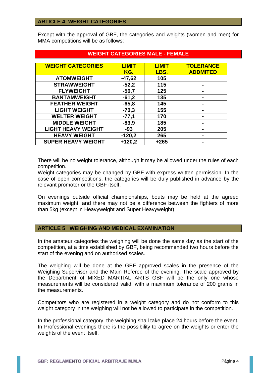## **ARTICLE 4 WEIGHT CATEGORIES**

Except with the approval of GBF, the categories and weights (women and men) for MMA competitions will be as follows:

| WEIGHT CATEGORIES MALE - FEMALE |              |              |                  |
|---------------------------------|--------------|--------------|------------------|
|                                 |              |              |                  |
| <b>WEIGHT CATEGORIES</b>        | <b>LIMIT</b> | <b>LIMIT</b> | <b>TOLERANCE</b> |
|                                 | KG.          | LBS.         | <b>ADDMITED</b>  |
| <b>ATOMWEIGHT</b>               | $-47,62$     | 105          |                  |
| <b>STRAWWEIGHT</b>              | $-52,2$      | 115          |                  |
| <b>FLYWEIGHT</b>                | $-56,7$      | 125          |                  |
| <b>BANTAMWEIGHT</b>             | $-61,2$      | 135          |                  |
| <b>FEATHER WEIGHT</b>           | $-65,8$      | 145          |                  |
| <b>LIGHT WEIGHT</b>             | $-70,3$      | 155          |                  |
| <b>WELTER WEIGHT</b>            | $-77,1$      | 170          |                  |
| <b>MIDDLE WEIGHT</b>            | $-83,9$      | 185          |                  |
| <b>LIGHT HEAVY WEIGHT</b>       | $-93$        | 205          |                  |
| <b>HEAVY WEIGHT</b>             | $-120,2$     | 265          |                  |
| <b>SUPER HEAVY WEIGHT</b>       | $+120,2$     | $+265$       |                  |

# **WEIGHT CATEGORIES MALE - FEMALE**

There will be no weight tolerance, although it may be allowed under the rules of each competition.

Weight categories may be changed by GBF with express written permission. In the case of open competitions, the categories will be duly published in advance by the relevant promoter or the GBF itself.

On evenings outside official championships, bouts may be held at the agreed maximum weight, and there may not be a difference between the fighters of more than 5kg (except in Heavyweight and Super Heavyweight).

## **ARTICLE 5 WEIGHING AND MEDICAL EXAMINATION**

In the amateur categories the weighing will be done the same day as the start of the competition, at a time established by GBF, being recommended two hours before the start of the evening and on authorised scales.

The weighing will be done at the GBF approved scales in the presence of the Weighing Supervisor and the Main Referee of the evening. The scale approved by the Department of MIXED MARTIAL ARTS GBF will be the only one whose measurements will be considered valid, with a maximum tolerance of 200 grams in the measurements.

Competitors who are registered in a weight category and do not conform to this weight category in the weighing will not be allowed to participate in the competition.

In the professional category, the weighing shall take place 24 hours before the event. In Professional evenings there is the possibility to agree on the weights or enter the weights of the event itself.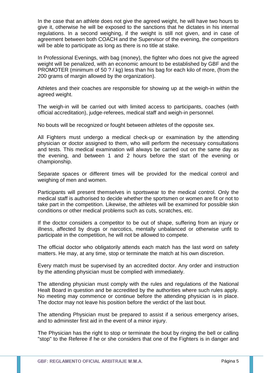In the case that an athlete does not give the agreed weight, he will have two hours to give it, otherwise he will be exposed to the sanctions that he dictates in his internal regulations. In a second weighing, if the weight is still not given, and in case of agreement between both COACH and the Supervisor of the evening, the competitors will be able to participate as long as there is no title at stake.

In Professional Evenings, with bag (money), the fighter who does not give the agreed weight will be penalized, with an economic amount to be established by GBF and the PROMOTER (minimum of 50 ? / kg) less than his bag for each kilo of more, (from the 200 grams of margin allowed by the organization).

Athletes and their coaches are responsible for showing up at the weigh-in within the agreed weight.

The weigh-in will be carried out with limited access to participants, coaches (with official accreditation), judge-referees, medical staff and weigh-in personnel.

No bouts will be recognized or fought between athletes of the opposite sex.

All Fighters must undergo a medical check-up or examination by the attending physician or doctor assigned to them, who will perform the necessary consultations and tests. This medical examination will always be carried out on the same day as the evening, and between 1 and 2 hours before the start of the evening or championship.

Separate spaces or different times will be provided for the medical control and weighing of men and women.

Participants will present themselves in sportswear to the medical control. Only the medical staff is authorised to decide whether the sportsmen or women are fit or not to take part in the competition. Likewise, the athletes will be examined for possible skin conditions or other medical problems such as cuts, scratches, etc.

If the doctor considers a competitor to be out of shape, suffering from an injury or illness, affected by drugs or narcotics, mentally unbalanced or otherwise unfit to participate in the competition, he will not be allowed to compete.

The official doctor who obligatorily attends each match has the last word on safety matters. He may, at any time, stop or terminate the match at his own discretion.

Every match must be supervised by an accredited doctor. Any order and instruction by the attending physician must be complied with immediately.

The attending physician must comply with the rules and regulations of the National Healt Board in question and be accredited by the authorities where such rules apply. No meeting may commence or continue before the attending physician is in place. The doctor may not leave his position before the verdict of the last bout.

The attending Physician must be prepared to assist if a serious emergency arises, and to administer first aid in the event of a minor injury.

The Physician has the right to stop or terminate the bout by ringing the bell or calling "stop" to the Referee if he or she considers that one of the Fighters is in danger and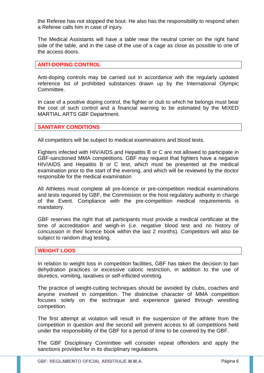the Referee has not stopped the bout. He also has the responsibility to respond when a Referee calls him in case of injury.

The Medical Assistants will have a table near the neutral corner on the right hand side of the table, and in the case of the use of a cage as close as possible to one of the access doors.

## **ANTI-DOPING CONTROL**

Anti-doping controls may be carried out in accordance with the regularly updated reference list of prohibited substances drawn up by the International Olympic Committee.

In case of a positive doping control, the fighter or club to which he belongs must bear the cost of such control and a financial warning to be estimated by the MIXED MARTIAL ARTS GBF Department.

## **SANITARY CONDITIONS**

All competitors will be subject to medical examinations and blood tests.

Fighters infected with HIV/AIDS and Hepatitis B or C are not allowed to participate in GBF-sanctioned MMA competitions. GBF may request that fighters have a negative HIV/AIDS and Hepatitis B or C test, which must be presented at the medical examination prior to the start of the evening, and which will be reviewed by the doctor responsible for the medical examination

All Athletes must complete all pre-licence or pre-competition medical examinations and tests required by GBF, the Commission or the host regulatory authority in charge of the Event. Compliance with the pre-competition medical requirements is mandatory.

GBF reserves the right that all participants must provide a medical certificate at the time of accreditation and weigh-in (i.e. negative blood test and no history of concussion in their licence book within the last 2 months). Competitors will also be subject to random drug testing.

#### **WEIGHT LOOS**

In relation to weight loss in competition facilities, GBF has taken the decision to ban dehydration practices or excessive caloric restriction, in addition to the use of diuretics, vomiting, laxatives or self-inflicted vomiting.

The practice of weight-cutting techniques should be avoided by clubs, coaches and anyone involved in competition. The distinctive character of MMA competition focuses solely on the technique and experience gained through wrestling competition.

The first attempt at violation will result in the suspension of the athlete from the competition in question and the second will prevent access to all competitions held under the responsibility of the GBF for a period of time to be covered by the GBF.

The GBF Disciplinary Committee will consider repeat offenders and apply the sanctions provided for in its disciplinary regulations.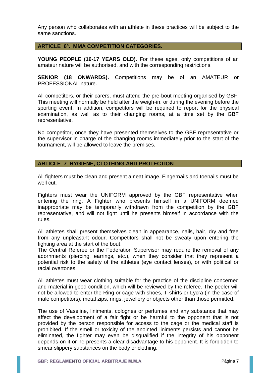Any person who collaborates with an athlete in these practices will be subject to the same sanctions.

## **ARTICLE 6º. MMA COMPETITION CATEGORIES.**

YOUNG PEOPLE (16-17 YEARS OLD). For these ages, only competitions of an amateur nature will be authorised, and with the corresponding restrictions.

**SENIOR (18 ONWARDS).** Competitions may be of an AMATEUR or PROFESSIONAL nature.

All competitors, or their carers, must attend the pre-bout meeting organised by GBF. This meeting will normally be held after the weigh-in, or during the evening before the sporting event. In addition, competitors will be required to report for the physical examination, as well as to their changing rooms, at a time set by the GBF representative.

No competitor, once they have presented themselves to the GBF representative or the supervisor in charge of the changing rooms immediately prior to the start of the tournament, will be allowed to leave the premises.

## **ARTICLE 7 HYGIENE, CLOTHING AND PROTECTION**

All fighters must be clean and present a neat image. Fingernails and toenails must be well cut.

Fighters must wear the UNIFORM approved by the GBF representative when entering the ring. A Fighter who presents himself in a UNIFORM deemed inappropriate may be temporarily withdrawn from the competition by the GBF representative, and will not fight until he presents himself in accordance with the rules.

All athletes shall present themselves clean in appearance, nails, hair, dry and free from any unpleasant odour. Competitors shall not be sweaty upon entering the fighting area at the start of the bout.

The Central Referee or the Federation Supervisor may require the removal of any adornments (piercing, earrings, etc.), when they consider that they represent a potential risk to the safety of the athletes (eye contact lenses), or with political or racial overtones.

All athletes must wear clothing suitable for the practice of the discipline concerned and material in good condition, which will be reviewed by the referee. The peeler will not be allowed to enter the Ring or cage with shoes, T-shirts or Lycra (in the case of male competitors), metal zips, rings, jewellery or objects other than those permitted.

The use of Vaseline, liniments, colognes or perfumes and any substance that may affect the development of a fair fight or be harmful to the opponent that is not provided by the person responsible for access to the cage or the medical staff is prohibited. If the smell or toxicity of the anointed liniments persists and cannot be eliminated, the fighter may even be disqualified if the integrity of his opponent depends on it or he presents a clear disadvantage to his opponent. It is forbidden to smear slippery substances on the body or clothing.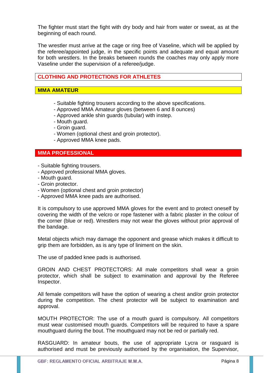The fighter must start the fight with dry body and hair from water or sweat, as at the beginning of each round.

The wrestler must arrive at the cage or ring free of Vaseline, which will be applied by the referee/appointed judge, in the specific points and adequate and equal amount for both wrestlers. In the breaks between rounds the coaches may only apply more Vaseline under the supervision of a referee/judge.

# **CLOTHING AND PROTECTIONS FOR ATHLETES**

## **MMA AMATEUR**

- Suitable fighting trousers according to the above specifications.
- Approved MMA Amateur gloves (between 6 and 8 ounces)
- Approved ankle shin guards (tubular) with instep.
- Mouth guard.
- Groin guard.
- Women (optional chest and groin protector).
- Approved MMA knee pads.

# **MMA PROFESSIONAL**

- Suitable fighting trousers.
- Approved professional MMA gloves.
- Mouth guard.
- Groin protector.
- Women (optional chest and groin protector)
- Approved MMA knee pads are authorised.

It is compulsory to use approved MMA gloves for the event and to protect oneself by covering the width of the velcro or rope fastener with a fabric plaster in the colour of the corner (blue or red). Wrestlers may not wear the gloves without prior approval of the bandage.

Metal objects which may damage the opponent and grease which makes it difficult to grip them are forbidden, as is any type of liniment on the skin.

The use of padded knee pads is authorised.

GROIN AND CHEST PROTECTORS: All male competitors shall wear a groin protector, which shall be subject to examination and approval by the Referee Inspector.

All female competitors will have the option of wearing a chest and/or groin protector during the competition. The chest protector will be subject to examination and approval.

MOUTH PROTECTOR: The use of a mouth guard is compulsory. All competitors must wear customised mouth guards. Competitors will be required to have a spare mouthguard during the bout. The mouthguard may not be red or partially red.

RASGUARD: In amateur bouts, the use of appropriate Lycra or rasguard is authorised and must be previously authorised by the organisation, the Supervisor,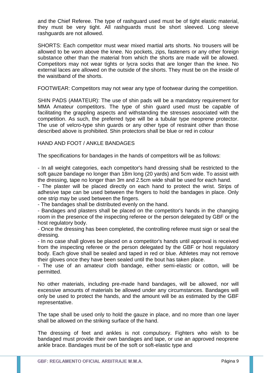and the Chief Referee. The type of rashguard used must be of tight elastic material, they must be very tight. All rashguards must be short sleeved. Long sleeve rashguards are not allowed.

SHORTS: Each competitor must wear mixed martial arts shorts. No trousers will be allowed to be worn above the knee. No pockets, zips, fasteners or any other foreign substance other than the material from which the shorts are made will be allowed. Competitors may not wear tights or lycra socks that are longer than the knee. No external laces are allowed on the outside of the shorts. They must be on the inside of the waistband of the shorts.

FOOTWEAR: Competitors may not wear any type of footwear during the competition.

SHIN PADS (AMATEUR): The use of shin pads will be a mandatory requirement for MMA Amateur competitors. The type of shin guard used must be capable of facilitating the grappling aspects and withstanding the stresses associated with the competition. As such, the preferred type will be a tubular type neoprene protector. The use of velcro-type shin guards or any other type of restraint other than those described above is prohibited. Shin protectors shall be blue or red in colour

## HAND AND FOOT / ANKLE BANDAGES

The specifications for bandages in the hands of competitors will be as follows:

- In all weight categories, each competitor's hand dressing shall be restricted to the soft gauze bandage no longer than 18m long (20 yards) and 5cm wide. To assist with the dressing, tape no longer than 3m and 2.5cm wide shall be used for each hand.

- The plaster will be placed directly on each hand to protect the wrist. Strips of adhesive tape can be used between the fingers to hold the bandages in place. Only one strip may be used between the fingers.

- The bandages shall be distributed evenly on the hand.

- Bandages and plasters shall be placed on the competitor's hands in the changing room in the presence of the inspecting referee or the person delegated by GBF or the host regulatory body.

- Once the dressing has been completed, the controlling referee must sign or seal the dressing.

- In no case shall gloves be placed on a competitor's hands until approval is received from the inspecting referee or the person delegated by the GBF or host regulatory body. Each glove shall be sealed and taped in red or blue. Athletes may not remove their gloves once they have been sealed until the bout has taken place.

- The use of an amateur cloth bandage, either semi-elastic or cotton, will be permitted.

No other materials, including pre-made hand bandages, will be allowed, nor will excessive amounts of materials be allowed under any circumstances. Bandages will only be used to protect the hands, and the amount will be as estimated by the GBF representative.

The tape shall be used only to hold the gauze in place, and no more than one layer shall be allowed on the striking surface of the hand.

The dressing of feet and ankles is not compulsory. Fighters who wish to be bandaged must provide their own bandages and tape, or use an approved neoprene ankle brace. Bandages must be of the soft or soft-elastic type and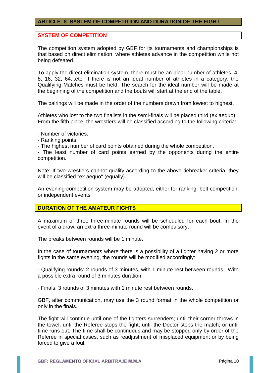## **ARTICLE 8 SYSTEM OF COMPETITION AND DURATION OF THE FIGHT**

## **SYSTEM OF COMPETITION**

The competition system adopted by GBF for its tournaments and championships is that based on direct elimination, where athletes advance in the competition while not being defeated.

To apply the direct elimination system, there must be an ideal number of athletes, 4, 8, 16, 32, 64...etc. If there is not an ideal number of athletes in a category, the Qualifying Matches must be held. The search for the ideal number will be made at the beginning of the competition and the bouts will start at the end of the table.

The pairings will be made in the order of the numbers drawn from lowest to highest.

Athletes who lost to the two finalists in the semi-finals will be placed third (ex aequo). From the fifth place, the wrestlers will be classified according to the following criteria:

- Number of victories.

- Ranking points.

- The highest number of card points obtained during the whole competition.

- The least number of card points earned by the opponents during the entire competition.

Note: If two wrestlers cannot qualify according to the above tiebreaker criteria, they will be classified "ex aequo" (equally).

An evening competition system may be adopted, either for ranking, belt competition, or independent events.

## **DURATION OF THE AMATEUR FIGHTS**

A maximum of three three-minute rounds will be scheduled for each bout. In the event of a draw, an extra three-minute round will be compulsory.

The breaks between rounds will be 1 minute.

In the case of tournaments where there is a possibility of a fighter having 2 or more fights in the same evening, the rounds will be modified accordingly:

- Qualifying rounds: 2 rounds of 3 minutes, with 1 minute rest between rounds. With a possible extra round of 3 minutes duration.

- Finals: 3 rounds of 3 minutes with 1 minute rest between rounds.

GBF, after communication, may use the 3 round format in the whole competition or only in the finals.

The fight will continue until one of the fighters surrenders; until their corner throws in the towel; until the Referee stops the fight; until the Doctor stops the match, or until time runs out. The time shall be continuous and may be stopped only by order of the Referee in special cases, such as readjustment of misplaced equipment or by being forced to give a foul.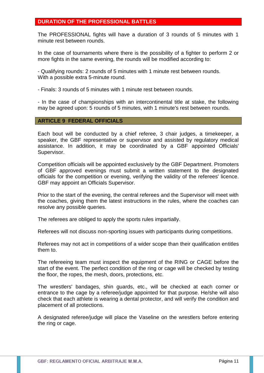# **DURATION OF THE PROFESSIONAL BATTLES**

The PROFESSIONAL fights will have a duration of 3 rounds of 5 minutes with 1 minute rest between rounds.

In the case of tournaments where there is the possibility of a fighter to perform 2 or more fights in the same evening, the rounds will be modified according to:

- Qualifying rounds: 2 rounds of 5 minutes with 1 minute rest between rounds. With a possible extra 5-minute round.

- Finals: 3 rounds of 5 minutes with 1 minute rest between rounds.

- In the case of championships with an intercontinental title at stake, the following may be agreed upon: 5 rounds of 5 minutes, with 1 minute's rest between rounds.

#### **ARTICLE 9 FEDERAL OFFICIALS**

Each bout will be conducted by a chief referee, 3 chair judges, a timekeeper, a speaker, the GBF representative or supervisor and assisted by regulatory medical assistance. In addition, it may be coordinated by a GBF appointed Officials' Supervisor.

Competition officials will be appointed exclusively by the GBF Department. Promoters of GBF approved evenings must submit a written statement to the designated officials for the competition or evening, verifying the validity of the referees' licence. GBF may appoint an Officials Supervisor.

Prior to the start of the evening, the central referees and the Supervisor will meet with the coaches, giving them the latest instructions in the rules, where the coaches can resolve any possible queries.

The referees are obliged to apply the sports rules impartially.

Referees will not discuss non-sporting issues with participants during competitions.

Referees may not act in competitions of a wider scope than their qualification entitles them to.

The refereeing team must inspect the equipment of the RING or CAGE before the start of the event. The perfect condition of the ring or cage will be checked by testing the floor, the ropes, the mesh, doors, protections, etc.

The wrestlers' bandages, shin guards, etc., will be checked at each corner or entrance to the cage by a referee/judge appointed for that purpose. He/she will also check that each athlete is wearing a dental protector, and will verify the condition and placement of all protections.

A designated referee/judge will place the Vaseline on the wrestlers before entering the ring or cage.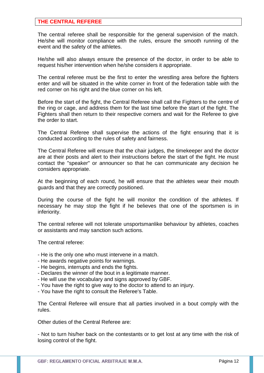## **THE CENTRAL REFEREE**

The central referee shall be responsible for the general supervision of the match. He/she will monitor compliance with the rules, ensure the smooth running of the event and the safety of the athletes.

He/she will also always ensure the presence of the doctor, in order to be able to request his/her intervention when he/she considers it appropriate.

The central referee must be the first to enter the wrestling area before the fighters enter and will be situated in the white corner in front of the federation table with the red corner on his right and the blue corner on his left.

Before the start of the fight, the Central Referee shall call the Fighters to the centre of the ring or cage, and address them for the last time before the start of the fight. The Fighters shall then return to their respective corners and wait for the Referee to give the order to start.

The Central Referee shall supervise the actions of the fight ensuring that it is conducted according to the rules of safety and fairness.

The Central Referee will ensure that the chair judges, the timekeeper and the doctor are at their posts and alert to their instructions before the start of the fight. He must contact the "speaker" or announcer so that he can communicate any decision he considers appropriate.

At the beginning of each round, he will ensure that the athletes wear their mouth guards and that they are correctly positioned.

During the course of the fight he will monitor the condition of the athletes. If necessary he may stop the fight if he believes that one of the sportsmen is in inferiority.

The central referee will not tolerate unsportsmanlike behaviour by athletes, coaches or assistants and may sanction such actions.

The central referee:

- He is the only one who must intervene in a match.
- He awards negative points for warnings.
- He begins, interrupts and ends the fights.
- Declares the winner of the bout in a legitimate manner.
- He will use the vocabulary and signs approved by GBF.
- You have the right to give way to the doctor to attend to an injury.
- You have the right to consult the Referee's Table.

The Central Referee will ensure that all parties involved in a bout comply with the rules.

Other duties of the Central Referee are:

- Not to turn his/her back on the contestants or to get lost at any time with the risk of losing control of the fight.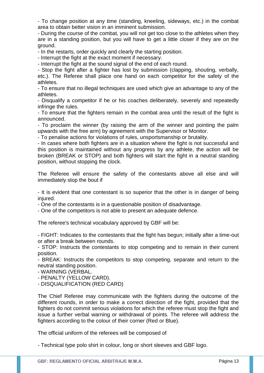- To change position at any time (standing, kneeling, sideways, etc.) in the combat area to obtain better vision in an imminent submission.

- During the course of the combat, you will not get too close to the athletes when they are in a standing position, but you will have to get a little closer if they are on the ground.

- In the restarts, order quickly and clearly the starting position.

- Interrupt the fight at the exact moment if necessary.

- Interrupt the fight at the sound signal of the end of each round.

- Stop the fight after a fighter has lost by submission (clapping, shouting, verbally, etc.). The Referee shall place one hand on each competitor for the safety of the athletes.

- To ensure that no illegal techniques are used which give an advantage to any of the athletes.

- Disqualify a competitor if he or his coaches deliberately, severely and repeatedly infringe the rules.

- To ensure that the fighters remain in the combat area until the result of the fight is announced.

- To proclaim the winner (by raising the arm of the winner and pointing the palm upwards with the free arm) by agreement with the Supervisor or Monitor.

- To penalise actions for violations of rules, unsportsmanship or brutality.

- In cases where both fighters are in a situation where the fight is not successful and this position is maintained without any progress by any athlete, the action will be broken (BREAK or STOP) and both fighters will start the fight in a neutral standing position, without stopping the clock.

The Referee will ensure the safety of the contestants above all else and will immediately stop the bout if

- It is evident that one contestant is so superior that the other is in danger of being injured.

- One of the contestants is in a questionable position of disadvantage.

- One of the competitors is not able to present an adequate defence.

The referee's technical vocabulary approved by GBF will be:

- FIGHT: Indicates to the contestants that the fight has begun; initially after a time-out or after a break between rounds.

- STOP: Instructs the contestants to stop competing and to remain in their current position.

- BREAK: Instructs the competitors to stop competing, separate and return to the neutral standing position.

- WARNING (VERBAL.

- PENALTY (YELLOW CARD).

- DISQUALIFICATION (RED CARD)

The Chief Referee may communicate with the fighters during the outcome of the different rounds, in order to make a correct direction of the fight, provided that the fighters do not commit serious violations for which the referee must stop the fight and issue a further verbal warning or withdrawal of points. The referee will address the fighters according to the colour of their corner (Red or Blue).

The official uniform of the referees will be composed of

- Technical type polo shirt in colour, long or short sleeves and GBF logo.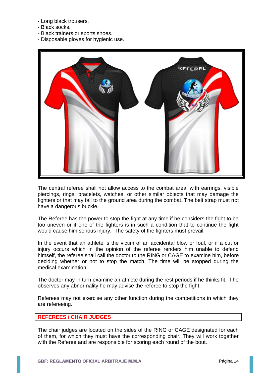- Long black trousers.
- Black socks.
- Black trainers or sports shoes.
- Disposable gloves for hygienic use.



The central referee shall not allow access to the combat area, with earrings, visible piercings, rings, bracelets, watches, or other similar objects that may damage the fighters or that may fall to the ground area during the combat. The belt strap must not have a dangerous buckle.

The Referee has the power to stop the fight at any time if he considers the fight to be too uneven or if one of the fighters is in such a condition that to continue the fight would cause him serious injury. The safety of the fighters must prevail.

In the event that an athlete is the victim of an accidental blow or foul, or if a cut or injury occurs which in the opinion of the referee renders him unable to defend himself, the referee shall call the doctor to the RING or CAGE to examine him, before deciding whether or not to stop the match. The time will be stopped during the medical examination.

The doctor may in turn examine an athlete during the rest periods if he thinks fit. If he observes any abnormality he may advise the referee to stop the fight.

Referees may not exercise any other function during the competitions in which they are refereeing.

# **REFEREES / CHAIR JUDGES**

The chair judges are located on the sides of the RING or CAGE designated for each of them, for which they must have the corresponding chair. They will work together with the Referee and are responsible for scoring each round of the bout.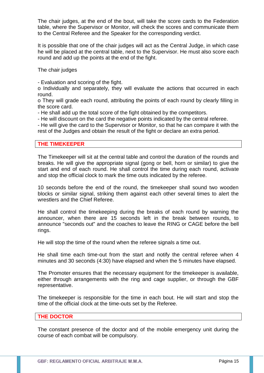The chair judges, at the end of the bout, will take the score cards to the Federation table, where the Supervisor or Monitor, will check the scores and communicate them to the Central Referee and the Speaker for the corresponding verdict.

It is possible that one of the chair judges will act as the Central Judge, in which case he will be placed at the central table, next to the Supervisor. He must also score each round and add up the points at the end of the fight.

The chair judges

- Evaluation and scoring of the fight.

o Individually and separately, they will evaluate the actions that occurred in each round.

o They will grade each round, attributing the points of each round by clearly filling in the score card.

- He shall add up the total score of the fight obtained by the competitors.

- He will discount on the card the negative points indicated by the central referee.

- He will give the card to the Supervisor or Monitor, so that he can compare it with the rest of the Judges and obtain the result of the fight or declare an extra period.

## **THE TIMEKEEPER**

The Timekeeper will sit at the central table and control the duration of the rounds and breaks. He will give the appropriate signal (gong or bell, horn or similar) to give the start and end of each round. He shall control the time during each round, activate and stop the official clock to mark the time outs indicated by the referee.

10 seconds before the end of the round, the timekeeper shall sound two wooden blocks or similar signal, striking them against each other several times to alert the wrestlers and the Chief Referee.

He shall control the timekeeping during the breaks of each round by warning the announcer, when there are 15 seconds left in the break between rounds, to announce "seconds out" and the coaches to leave the RING or CAGE before the bell rings.

He will stop the time of the round when the referee signals a time out.

He shall time each time-out from the start and notify the central referee when 4 minutes and 30 seconds (4:30) have elapsed and when the 5 minutes have elapsed.

The Promoter ensures that the necessary equipment for the timekeeper is available, either through arrangements with the ring and cage supplier, or through the GBF representative.

The timekeeper is responsible for the time in each bout. He will start and stop the time of the official clock at the time-outs set by the Referee.

## **THE DOCTOR**

The constant presence of the doctor and of the mobile emergency unit during the course of each combat will be compulsory.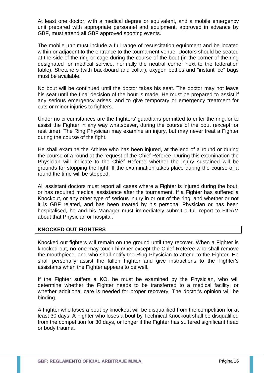At least one doctor, with a medical degree or equivalent, and a mobile emergency unit prepared with appropriate personnel and equipment, approved in advance by GBF, must attend all GBF approved sporting events.

The mobile unit must include a full range of resuscitation equipment and be located within or adjacent to the entrance to the tournament venue. Doctors should be seated at the side of the ring or cage during the course of the bout (in the corner of the ring designated for medical service, normally the neutral corner next to the federation table). Stretchers (with backboard and collar), oxygen bottles and "instant ice" bags must be available.

No bout will be continued until the doctor takes his seat. The doctor may not leave his seat until the final decision of the bout is made. He must be prepared to assist if any serious emergency arises, and to give temporary or emergency treatment for cuts or minor injuries to fighters.

Under no circumstances are the Fighters' guardians permitted to enter the ring, or to assist the Fighter in any way whatsoever, during the course of the bout (except for rest time). The Ring Physician may examine an injury, but may never treat a Fighter during the course of the fight.

He shall examine the Athlete who has been injured, at the end of a round or during the course of a round at the request of the Chief Referee. During this examination the Physician will indicate to the Chief Referee whether the injury sustained will be grounds for stopping the fight. If the examination takes place during the course of a round the time will be stopped.

All assistant doctors must report all cases where a Fighter is injured during the bout, or has required medical assistance after the tournament. If a Fighter has suffered a Knockout, or any other type of serious injury in or out of the ring, and whether or not it is GBF related, and has been treated by his personal Physician or has been hospitalised, he and his Manager must immediately submit a full report to FIDAM about that Physician or hospital.

## **KNOCKED OUT FIGHTERS**

Knocked out fighters will remain on the ground until they recover. When a Fighter is knocked out, no one may touch him/her except the Chief Referee who shall remove the mouthpiece, and who shall notify the Ring Physician to attend to the Fighter. He shall personally assist the fallen Fighter and give instructions to the Fighter's assistants when the Fighter appears to be well.

If the Fighter suffers a KO, he must be examined by the Physician, who will determine whether the Fighter needs to be transferred to a medical facility, or whether additional care is needed for proper recovery. The doctor's opinion will be binding.

A Fighter who loses a bout by knockout will be disqualified from the competition for at least 30 days. A Fighter who loses a bout by Technical Knockout shall be disqualified from the competition for 30 days, or longer if the Fighter has suffered significant head or body trauma.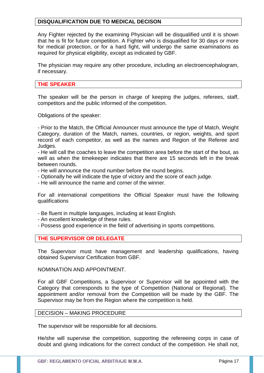# **DISQUALIFICATION DUE TO MEDICAL DECISON**

Any Fighter rejected by the examining Physician will be disqualified until it is shown that he is fit for future competition. A Fighter who is disqualified for 30 days or more for medical protection, or for a hard fight, will undergo the same examinations as required for physical eligibility, except as indicated by GBF.

The physician may require any other procedure, including an electroencephalogram, if necessary.

## **THE SPEAKER**

The speaker will be the person in charge of keeping the judges, referees, staff, competitors and the public informed of the competition.

Obligations of the speaker:

- Prior to the Match, the Official Announcer must announce the type of Match, Weight Category, duration of the Match, names, countries, or region, weights, and sport record of each competitor, as well as the names and Region of the Referee and Judges.

- He will call the coaches to leave the competition area before the start of the bout, as well as when the timekeeper indicates that there are 15 seconds left in the break between rounds.

- He will announce the round number before the round begins.

- Optionally he will indicate the type of victory and the score of each judge.

- He will announce the name and corner of the winner.

For all international competitions the Official Speaker must have the following qualifications

- Be fluent in multiple languages, including at least English.
- An excellent knowledge of these rules.
- Possess good experience in the field of advertising in sports competitions.

## **THE SUPERVISOR OR DELEGATE**

The Supervisor must have management and leadership qualifications, having obtained Supervisor Certification from GBF.

NOMINATION AND APPOINTMENT.

For all GBF Competitions, a Supervisor or Supervisor will be appointed with the Category that corresponds to the type of Competition (National or Regional). The appointment and/or removal from the Competition will be made by the GBF. The Supervisor may be from the Region where the competition is held.

# DECISION – MAKING PROCEDURE

The supervisor will be responsible for all decisions.

He/she will supervise the competition, supporting the refereeing corps in case of doubt and giving indications for the correct conduct of the competition. He shall not,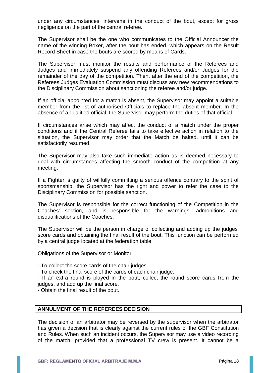under any circumstances, intervene in the conduct of the bout, except for gross negligence on the part of the central referee.

The Supervisor shall be the one who communicates to the Official Announcer the name of the winning Boxer, after the bout has ended, which appears on the Result Record Sheet in case the bouts are scored by means of Cards.

The Supervisor must monitor the results and performance of the Referees and Judges and immediately suspend any offending Referees and/or Judges for the remainder of the day of the competition. Then, after the end of the competition, the Referees Judges Evaluation Commission must discuss any new recommendations to the Disciplinary Commission about sanctioning the referee and/or judge.

If an official appointed for a match is absent, the Supervisor may appoint a suitable member from the list of authorised Officials to replace the absent member. In the absence of a qualified official, the Supervisor may perform the duties of that official.

If circumstances arise which may affect the conduct of a match under the proper conditions and if the Central Referee fails to take effective action in relation to the situation, the Supervisor may order that the Match be halted, until it can be satisfactorily resumed.

The Supervisor may also take such immediate action as is deemed necessary to deal with circumstances affecting the smooth conduct of the competition at any meeting.

If a Fighter is guilty of willfully committing a serious offence contrary to the spirit of sportsmanship, the Supervisor has the right and power to refer the case to the Disciplinary Commission for possible sanction.

The Supervisor is responsible for the correct functioning of the Competition in the Coaches' section, and is responsible for the warnings, admonitions and disqualifications of the Coaches.

The Supervisor will be the person in charge of collecting and adding up the judges' score cards and obtaining the final result of the bout. This function can be performed by a central judge located at the federation table.

Obligations of the Supervisor or Monitor:

- To collect the score cards of the chair judges.
- To check the final score of the cards of each chair judge.

- If an extra round is played in the bout, collect the round score cards from the judges, and add up the final score.

- Obtain the final result of the bout.

# **ANNULMENT OF THE REFEREES DECISION**

The decision of an arbitrator may be reversed by the supervisor when the arbitrator has given a decision that is clearly against the current rules of the GBF Constitution and Rules. When such an incident occurs, the Supervisor may use a video recording of the match, provided that a professional TV crew is present. It cannot be a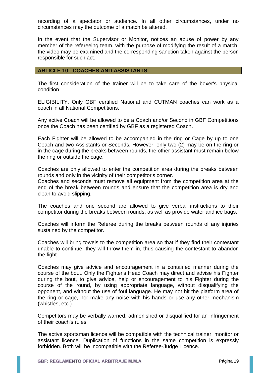recording of a spectator or audience. In all other circumstances, under no circumstances may the outcome of a match be altered.

In the event that the Supervisor or Monitor, notices an abuse of power by any member of the refereeing team, with the purpose of modifying the result of a match, the video may be examined and the corresponding sanction taken against the person responsible for such act.

## **ARTICLE 10 COACHES AND ASSISTANTS**

The first consideration of the trainer will be to take care of the boxer's physical condition

ELIGIBILITY. Only GBF certified National and CUTMAN coaches can work as a coach in all National Competitions.

Any active Coach will be allowed to be a Coach and/or Second in GBF Competitions once the Coach has been certified by GBF as a registered Coach.

Each Fighter will be allowed to be accompanied in the ring or Cage by up to one Coach and two Assistants or Seconds. However, only two (2) may be on the ring or in the cage during the breaks between rounds, the other assistant must remain below the ring or outside the cage.

Coaches are only allowed to enter the competition area during the breaks between rounds and only in the vicinity of their competitor's corner.

Coaches and seconds must remove all equipment from the competition area at the end of the break between rounds and ensure that the competition area is dry and clean to avoid slipping.

The coaches and one second are allowed to give verbal instructions to their competitor during the breaks between rounds, as well as provide water and ice bags.

Coaches will inform the Referee during the breaks between rounds of any injuries sustained by the competitor.

Coaches will bring towels to the competition area so that if they find their contestant unable to continue, they will throw them in, thus causing the contestant to abandon the fight.

Coaches may give advice and encouragement in a contained manner during the course of the bout. Only the Fighter's Head Coach may direct and advise his Fighter during the bout, to give advice, help or encouragement to his Fighter during the course of the round, by using appropriate language, without disqualifying the opponent, and without the use of foul language. He may not hit the platform area of the ring or cage, nor make any noise with his hands or use any other mechanism (whistles, etc.).

Competitors may be verbally warned, admonished or disqualified for an infringement of their coach's rules.

The active sportsman licence will be compatible with the technical trainer, monitor or assistant licence. Duplication of functions in the same competition is expressly forbidden. Both will be incompatible with the Referee-Judge Licence.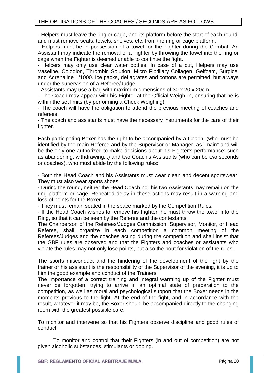# THE OBLIGATIONS OF THE COACHES / SECONDS ARE AS FOLLOWS.

- Helpers must leave the ring or cage, and its platform before the start of each round, and must remove seats, towels, shelves, etc. from the ring or cage platform.

- Helpers must be in possession of a towel for the Fighter during the Combat. An Assistant may indicate the removal of a Fighter by throwing the towel into the ring or cage when the Fighter is deemed unable to continue the fight.

- Helpers may only use clear water bottles. In case of a cut, Helpers may use Vaseline, Colodion, Thrombin Solution, Micro Fibrillary Collagen, Gelfoam, Surgicel and Adrenaline 1/1000. Ice packs, deflagrates and cottons are permitted, but always under the supervision of a Referee/Judge.

- Assistants may use a bag with maximum dimensions of 30 x 20 x 20cm.

- The Coach may appear with his Fighter at the Official Weigh-In, ensuring that he is within the set limits (by performing a Check Weighing).

- The coach will have the obligation to attend the previous meeting of coaches and referees.

- The coach and assistants must have the necessary instruments for the care of their fighter.

Each participating Boxer has the right to be accompanied by a Coach, (who must be identified by the main Referee and by the Supervisor or Manager, as "main" and will be the only one authorized to make decisions about his Fighter's performance; such as abandoning, withdrawing...) and two Coach's Assistants (who can be two seconds or coaches), who must abide by the following rules:

- Both the Head Coach and his Assistants must wear clean and decent sportswear. They must also wear sports shoes.

- During the round, neither the Head Coach nor his two Assistants may remain on the ring platform or cage. Repeated delay in these actions may result in a warning and loss of points for the Boxer.

- They must remain seated in the space marked by the Competition Rules.

- If the Head Coach wishes to remove his Fighter, he must throw the towel into the Ring, so that it can be seen by the Referee and the contestants.

The Chairperson of the Referees/Judges Commission, Supervisor, Monitor, or Head Referee, shall organize in each competition a common meeting of the Referees/Judges and the coaches acting during the competition and shall insist that the GBF rules are observed and that the Fighters and coaches or assistants who violate the rules may not only lose points, but also the bout for violation of the rules.

The sports misconduct and the hindering of the development of the fight by the trainer or his assistant is the responsibility of the Supervisor of the evening, it is up to him the good example and conduct of the Trainers.

The importance of a correct training and integral warming up of the Fighter must never be forgotten, trying to arrive in an optimal state of preparation to the competition, as well as moral and psychological support that the Boxer needs in the moments previous to the fight. At the end of the fight, and in accordance with the result, whatever it may be, the Boxer should be accompanied directly to the changing room with the greatest possible care.

To monitor and intervene so that his Fighters observe discipline and good rules of conduct.

To monitor and control that their Fighters (in and out of competition) are not given alcoholic substances, stimulants or doping.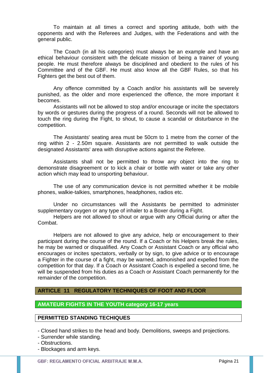To maintain at all times a correct and sporting attitude, both with the opponents and with the Referees and Judges, with the Federations and with the general public.

The Coach (in all his categories) must always be an example and have an ethical behaviour consistent with the delicate mission of being a trainer of young people. He must therefore always be disciplined and obedient to the rules of his Committee and of the GBF. He must also know all the GBF Rules, so that his Fighters get the best out of them.

Any offence committed by a Coach and/or his assistants will be severely punished, as the older and more experienced the offence, the more important it becomes.

Assistants will not be allowed to stop and/or encourage or incite the spectators by words or gestures during the progress of a round. Seconds will not be allowed to touch the ring during the Fight, to shout, to cause a scandal or disturbance in the competition.

The Assistants' seating area must be 50cm to 1 metre from the corner of the ring within 2 - 2.50m square. Assistants are not permitted to walk outside the designated Assistants' area with disruptive actions against the Referee.

Assistants shall not be permitted to throw any object into the ring to demonstrate disagreement or to kick a chair or bottle with water or take any other action which may lead to unsporting behaviour.

The use of any communication device is not permitted whether it be mobile phones, walkie-talkies, smartphones, headphones, radios etc.

Under no circumstances will the Assistants be permitted to administer supplementary oxygen or any type of inhaler to a Boxer during a Fight.

Helpers are not allowed to shout or argue with any Official during or after the Combat.

Helpers are not allowed to give any advice, help or encouragement to their participant during the course of the round. If a Coach or his Helpers break the rules, he may be warned or disqualified. Any Coach or Assistant Coach or any official who encourages or incites spectators, verbally or by sign, to give advice or to encourage a Fighter in the course of a fight, may be warned, admonished and expelled from the competition for that day. If a Coach or Assistant Coach is expelled a second time, he will be suspended from his duties as a Coach or Assistant Coach permanently for the remainder of the competition.

## **ARTICLE 11 REGULATORY TECHNIQUES OF FOOT AND FLOOR**

# **AMATEUR FIGHTS IN THE YOUTH category 16-17 years**

## **PERMITTED STANDING TECHIQUES**

- Closed hand strikes to the head and body. Demolitions, sweeps and projections.

- Surrender while standing.

- Obstructions.

- Blockages and arm keys.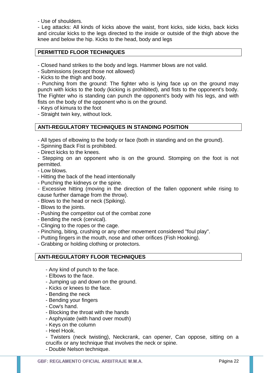- Use of shoulders.

- Leg attacks: All kinds of kicks above the waist, front kicks, side kicks, back kicks and circular kicks to the legs directed to the inside or outside of the thigh above the knee and below the hip. Kicks to the head, body and legs

# **PERMITTED FLOOR TECHNIQUES**

- Closed hand strikes to the body and legs. Hammer blows are not valid.

- Submissions (except those not allowed)

- Kicks to the thigh and body.

- Punching from the ground: The fighter who is lying face up on the ground may punch with kicks to the body (kicking is prohibited), and fists to the opponent's body. The Fighter who is standing can punch the opponent's body with his legs, and with fists on the body of the opponent who is on the ground.

- Keys of kimura to the foot

- Straight twin key, without lock.

# **ANTI-REGULATORY TECHNIQUES IN STANDING POSITION**

- All types of elbowing to the body or face (both in standing and on the ground).

- Spinning Back Fist is prohibited.
- Direct kicks to the knees.

- Stepping on an opponent who is on the ground. Stomping on the foot is not permitted.

- Low blows.
- Hitting the back of the head intentionally
- Punching the kidneys or the spine.

- Excessive hitting (moving in the direction of the fallen opponent while rising to cause further damage from the throw).

- Blows to the head or neck (Spiking).
- Blows to the joints.
- Pushing the competitor out of the combat zone
- Bending the neck (cervical).
- Clinging to the ropes or the cage.
- Pinching, biting, crushing or any other movement considered "foul play".
- Putting fingers in the mouth, nose and other orifices (Fish Hooking).
- Grabbing or holding clothing or protectors.

# **ANTI-REGULATORY FLOOR TECHNIQUES**

- Any kind of punch to the face.
- Elbows to the face.
- Jumping up and down on the ground.
- Kicks or knees to the face.
- Bending the neck
- Bending your fingers
- Cow's hand.
- Blocking the throat with the hands
- Asphyxiate (with hand over mouth)
- Keys on the column
- Heel Hook.

- Twisters (neck twisting), Neckcrank, can opener, Can oppose, sitting on a crucifix or any technique that involves the neck or spine.

- Double Nelson technique.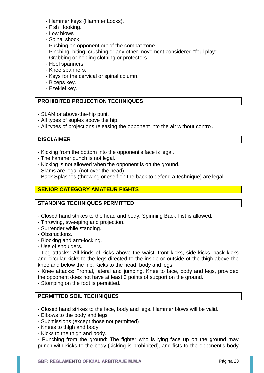- Hammer keys (Hammer Locks).
- Fish Hooking.
- Low blows
- Spinal shock
- Pushing an opponent out of the combat zone
- Pinching, biting, crushing or any other movement considered "foul play".
- Grabbing or holding clothing or protectors.
- Heel spanners.
- Knee spanners.
- Keys for the cervical or spinal column.
- Biceps key.
- Ezekiel key.

# **PROHIBITED PROJECTION TECHNIQUES**

- SLAM or above-the-hip punt.
- All types of suplex above the hip.
- All types of projections releasing the opponent into the air without control.

# **DISCLAIMER**

- Kicking from the bottom into the opponent's face is legal.
- The hammer punch is not legal.
- Kicking is not allowed when the opponent is on the ground.
- Slams are legal (not over the head).
- Back Splashes (throwing oneself on the back to defend a technique) are legal.

# **SENIOR CATEGORY AMATEUR FIGHTS**

## **STANDING TECHNIQUES PERMITTED**

- Closed hand strikes to the head and body. Spinning Back Fist is allowed.
- Throwing, sweeping and projection.
- Surrender while standing.
- Obstructions.
- Blocking and arm-locking.
- Use of shoulders.

- Leg attacks: All kinds of kicks above the waist, front kicks, side kicks, back kicks and circular kicks to the legs directed to the inside or outside of the thigh above the knee and below the hip. Kicks to the head, body and legs

- Knee attacks: Frontal, lateral and jumping. Knee to face, body and legs, provided the opponent does not have at least 3 points of support on the ground.

- Stomping on the foot is permitted.

# **PERMITTED SOIL TECHNIQUES**

- Closed hand strikes to the face, body and legs. Hammer blows will be valid.

- Elbows to the body and legs.
- Submissions (except those not permitted)
- Knees to thigh and body.
- Kicks to the thigh and body.

- Punching from the ground: The fighter who is lying face up on the ground may punch with kicks to the body (kicking is prohibited), and fists to the opponent's body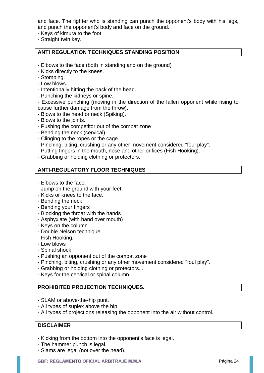and face. The fighter who is standing can punch the opponent's body with his legs, and punch the opponent's body and face on the ground.

- Keys of kimura to the foot
- Straight twin key.

## **ANTI REGULATION TECHNIQUES STANDING POSITION**

- Elbows to the face (both in standing and on the ground)
- Kicks directly to the knees.
- Stomping.
- Low blows.
- Intentionally hitting the back of the head.
- Punching the kidneys or spine.
- Excessive punching (moving in the direction of the fallen opponent while rising to cause further damage from the throw).
- Blows to the head or neck (Spiking).
- Blows to the joints.
- Pushing the competitor out of the combat zone
- Bending the neck (cervical).
- Clinging to the ropes or the cage.
- Pinching, biting, crushing or any other movement considered "foul play".
- Putting fingers in the mouth, nose and other orifices (Fish Hooking).
- Grabbing or holding clothing or protectors.

# **ANTI-REGULATORY FLOOR TECHNIQUES**

- Elbows to the face.
- Jump on the ground with your feet.
- Kicks or knees to the face.
- Bending the neck
- Bending your fingers
- Blocking the throat with the hands
- Asphyxiate (with hand over mouth)
- Keys on the column
- Double Nelson technique.
- Fish Hooking.
- Low blows
- Spinal shock
- Pushing an opponent out of the combat zone
- Pinching, biting, crushing or any other movement considered "foul play".
- Grabbing or holding clothing or protectors. .
- Keys for the cervical or spinal column..

## **PROHIBITED PROJECTION TECHNIQUES.**

- SLAM or above-the-hip punt.
- All types of suplex above the hip.
- All types of projections releasing the opponent into the air without control.

#### **DISCLAIMER**

- Kicking from the bottom into the opponent's face is legal.
- The hammer punch is legal.
- Slams are legal (not over the head).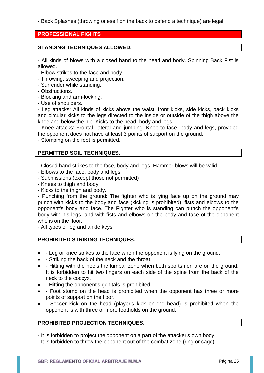- Back Splashes (throwing oneself on the back to defend a technique) are legal.

# **PROFESSIONAL FIGHTS**

# **STANDING TECHNIQUES ALLOWED.**

- All kinds of blows with a closed hand to the head and body. Spinning Back Fist is allowed.

- Elbow strikes to the face and body
- Throwing, sweeping and projection.
- Surrender while standing.
- Obstructions.
- Blocking and arm-locking.
- Use of shoulders.

- Leg attacks: All kinds of kicks above the waist, front kicks, side kicks, back kicks and circular kicks to the legs directed to the inside or outside of the thigh above the knee and below the hip. Kicks to the head, body and legs

- Knee attacks: Frontal, lateral and jumping. Knee to face, body and legs, provided the opponent does not have at least 3 points of support on the ground.

- Stomping on the feet is permitted.

# **PERMITTED SOIL TECHNIQUES.**

- Closed hand strikes to the face, body and legs. Hammer blows will be valid.

- Elbows to the face, body and legs.
- Submissions (except those not permitted)
- Knees to thigh and body.
- Kicks to the thigh and body.

- Punching from the ground: The fighter who is lying face up on the ground may punch with kicks to the body and face (kicking is prohibited), fists and elbows to the opponent's body and face. The Fighter who is standing can punch the opponent's body with his legs, and with fists and elbows on the body and face of the opponent who is on the floor.

- All types of leg and ankle keys.

## **PROHIBITED STRIKING TECHNIQUES.**

- - Leg or knee strikes to the face when the opponent is lying on the ground.
- - Striking the back of the neck and the throat.
- Hitting with the heels the lumbar zone when both sportsmen are on the ground. It is forbidden to hit two fingers on each side of the spine from the back of the neck to the coccyx.
- Hitting the opponent's genitals is prohibited.
- - Foot stomp on the head is prohibited when the opponent has three or more points of support on the floor.
- Soccer kick on the head (player's kick on the head) is prohibited when the opponent is with three or more footholds on the ground.

# **PROHIBITED PROJECTION TECHNIQUES.**

- It is forbidden to project the opponent on a part of the attacker's own body.
- It is forbidden to throw the opponent out of the combat zone (ring or cage)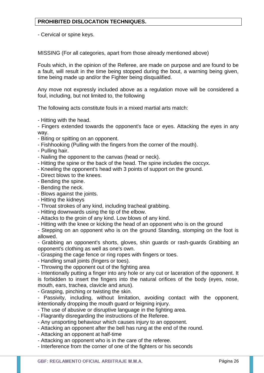- Cervical or spine keys.

MISSING (For all categories, apart from those already mentioned above)

Fouls which, in the opinion of the Referee, are made on purpose and are found to be a fault, will result in the time being stopped during the bout, a warning being given, time being made up and/or the Fighter being disqualified.

Any move not expressly included above as a regulation move will be considered a foul, including, but not limited to, the following

The following acts constitute fouls in a mixed martial arts match:

- Hitting with the head.

- Fingers extended towards the opponent's face or eyes. Attacking the eyes in any way.

- Biting or spitting on an opponent.
- Fishhooking (Pulling with the fingers from the corner of the mouth).
- Pulling hair.

- Nailing the opponent to the canvas (head or neck).

- Hitting the spine or the back of the head. The spine includes the coccyx.

- Kneeling the opponent's head with 3 points of support on the ground.
- Direct blows to the knees.
- Bending the spine.
- Bending the neck.
- Blows against the joints.
- Hitting the kidneys
- Throat strokes of any kind, including tracheal grabbing.
- Hitting downwards using the tip of the elbow.

- Attacks to the groin of any kind. Low blows of any kind.

- Hitting with the knee or kicking the head of an opponent who is on the ground

- Stepping on an opponent who is on the ground Standing, stomping on the foot is allowed.

- Grabbing an opponent's shorts, gloves, shin guards or rash-guards Grabbing an opponent's clothing as well as one's own.

- Grasping the cage fence or ring ropes with fingers or toes.

- Handling small joints (fingers or toes).

- Throwing the opponent out of the fighting area

- Intentionally putting a finger into any hole or any cut or laceration of the opponent. It is forbidden to insert the fingers into the natural orifices of the body (eyes, nose, mouth, ears, trachea, clavicle and anus).

- Grasping, pinching or twisting the skin.

- Passivity, including, without limitation, avoiding contact with the opponent, intentionally dropping the mouth guard or feigning injury.

- The use of abusive or disruptive language in the fighting area.
- Flagrantly disregarding the instructions of the Referee.
- Any unsporting behaviour which causes injury to an opponent.
- Attacking an opponent after the bell has rung at the end of the round.
- Attacking an opponent at half-time
- Attacking an opponent who is in the care of the referee.
- Interference from the corner of one of the fighters or his seconds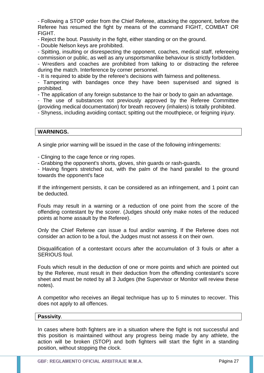- Following a STOP order from the Chief Referee, attacking the opponent, before the Referee has resumed the fight by means of the command FIGHT, COMBAT OR FIGHT.

- Reject the bout. Passivity in the fight, either standing or on the ground.

- Double Nelson keys are prohibited.

- Spitting, insulting or disrespecting the opponent, coaches, medical staff, refereeing commission or public, as well as any unsportsmanlike behaviour is strictly forbidden.

- Wrestlers and coaches are prohibited from talking to or distracting the referee during the match. Interference by corner personnel.

- It is required to abide by the referee's decisions with fairness and politeness.

- Tampering with bandages once they have been supervised and signed is prohibited.

- The application of any foreign substance to the hair or body to gain an advantage.

- The use of substances not previously approved by the Referee Committee (providing medical documentation) for breath recovery (inhalers) is totally prohibited.

- Shyness, including avoiding contact; spitting out the mouthpiece, or feigning injury.

## **WARNINGS.**

A single prior warning will be issued in the case of the following infringements:

- Clinging to the cage fence or ring ropes.

- Grabbing the opponent's shorts, gloves, shin guards or rash-guards.

- Having fingers stretched out, with the palm of the hand parallel to the ground towards the opponent's face

If the infringement persists, it can be considered as an infringement, and 1 point can be deducted.

Fouls may result in a warning or a reduction of one point from the score of the offending contestant by the scorer. (Judges should only make notes of the reduced points at home assault by the Referee).

Only the Chief Referee can issue a foul and/or warning. If the Referee does not consider an action to be a foul, the Judges must not assess it on their own.

Disqualification of a contestant occurs after the accumulation of 3 fouls or after a SERIOUS foul.

Fouls which result in the deduction of one or more points and which are pointed out by the Referee, must result in their deduction from the offending contestant's score sheet and must be noted by all 3 Judges (the Supervisor or Monitor will review these notes).

A competitor who receives an illegal technique has up to 5 minutes to recover. This does not apply to all offences.

## **Passivity**.

In cases where both fighters are in a situation where the fight is not successful and this position is maintained without any progress being made by any athlete, the action will be broken (STOP) and both fighters will start the fight in a standing position, without stopping the clock.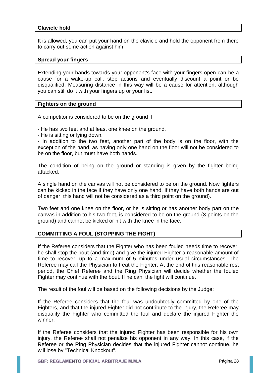## **Clavicle hold**

It is allowed, you can put your hand on the clavicle and hold the opponent from there to carry out some action against him.

## **Spread your fingers**

Extending your hands towards your opponent's face with your fingers open can be a cause for a wake-up call, stop actions and eventually discount a point or be disqualified. Measuring distance in this way will be a cause for attention, although you can still do it with your fingers up or your fist.

## **Fighters on the ground**

A competitor is considered to be on the ground if

- He has two feet and at least one knee on the ground.

- He is sitting or lying down.

- In addition to the two feet, another part of the body is on the floor, with the exception of the hand, as having only one hand on the floor will not be considered to be on the floor, but must have both hands.

The condition of being on the ground or standing is given by the fighter being attacked.

A single hand on the canvas will not be considered to be on the ground. Now fighters can be kicked in the face if they have only one hand. If they have both hands are out of danger, this hand will not be considered as a third point on the ground).

Two feet and one knee on the floor, or he is sitting or has another body part on the canvas in addition to his two feet, is considered to be on the ground (3 points on the ground) and cannot be kicked or hit with the knee in the face.

## **COMMITTING A FOUL (STOPPING THE FIGHT)**

If the Referee considers that the Fighter who has been fouled needs time to recover, he shall stop the bout (and time) and give the injured Fighter a reasonable amount of time to recover; up to a maximum of 5 minutes under usual circumstances. The Referee may call the Physician to treat the Fighter. At the end of this reasonable rest period, the Chief Referee and the Ring Physician will decide whether the fouled Fighter may continue with the bout. If he can, the fight will continue.

The result of the foul will be based on the following decisions by the Judge:

If the Referee considers that the foul was undoubtedly committed by one of the Fighters, and that the injured Fighter did not contribute to the injury, the Referee may disqualify the Fighter who committed the foul and declare the injured Fighter the winner.

If the Referee considers that the injured Fighter has been responsible for his own iniurv. the Referee shall not penalize his opponent in any way. In this case, if the Referee or the Ring Physician decides that the injured Fighter cannot continue, he will lose by "Technical Knockout".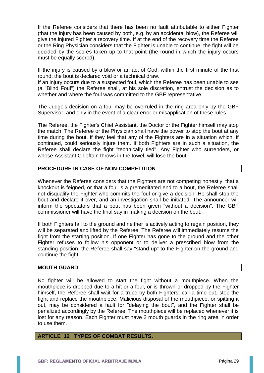If the Referee considers that there has been no fault attributable to either Fighter (that the injury has been caused by both, e.g. by an accidental blow), the Referee will give the injured Fighter a recovery time. If at the end of the recovery time the Referee or the Ring Physician considers that the Fighter is unable to continue, the fight will be decided by the scores taken up to that point (the round in which the injury occurs must be equally scored).

If the injury is caused by a blow or an act of God, within the first minute of the first round, the bout is declared void or a technical draw.

If an injury occurs due to a suspected foul, which the Referee has been unable to see (a "Blind Foul") the Referee shall, at his sole discretion, entrust the decision as to whether and where the foul was committed to the GBF representative.

The Judge's decision on a foul may be overruled in the ring area only by the GBF Supervisor, and only in the event of a clear error or misapplication of these rules.

The Referee, the Fighter's Chief Assistant, the Doctor or the Fighter himself may stop the match. The Referee or the Physician shall have the power to stop the bout at any time during the bout, if they feel that any of the Fighters are in a situation which, if continued, could seriously injure them. If both Fighters are in such a situation, the Referee shall declare the fight "technically tied". Any Fighter who surrenders, or whose Assistant Chieftain throws in the towel, will lose the bout.

## **PROCEDURE IN CASE OF NON-COMPETITION**

Whenever the Referee considers that the Fighters are not competing honestly; that a knockout is feigned, or that a foul is a premeditated end to a bout, the Referee shall not disqualify the Fighter who commits the foul or give a decision. He shall stop the bout and declare it over, and an investigation shall be initiated. The announcer will inform the spectators that a bout has been given "without a decision". The GBF commissioner will have the final say in making a decision on the bout.

If both Fighters fall to the ground and neither is actively acting to regain position, they will be separated and lifted by the Referee. The Referee will immediately resume the fight from the starting position. If one Fighter has gone to the ground and the other Fighter refuses to follow his opponent or to deliver a prescribed blow from the standing position, the Referee shall say "stand up" to the Fighter on the ground and continue the fight.

## **MOUTH GUARD**

No fighter will be allowed to start the fight without a mouthpiece. When the mouthpiece is dropped due to a hit or a foul, or is thrown or dropped by the Fighter himself, the Referee shall wait for a truce by both Fighters, call a time-out, stop the fight and replace the mouthpiece. Malicious disposal of the mouthpiece, or spitting it out, may be considered a fault for "delaying the bout", and the Fighter shall be penalized accordingly by the Referee. The mouthpiece will be replaced whenever it is lost for any reason. Each Fighter must have 2 mouth guards in the ring area in order to use them.

## **ARTICLE 12 TYPES OF COMBAT RESULTS.**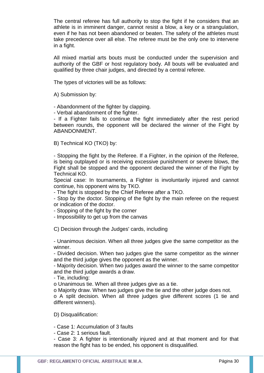The central referee has full authority to stop the fight if he considers that an athlete is in imminent danger, cannot resist a blow, a key or a strangulation, even if he has not been abandoned or beaten. The safety of the athletes must take precedence over all else. The referee must be the only one to intervene in a fight.

All mixed martial arts bouts must be conducted under the supervision and authority of the GBF or host regulatory body. All bouts will be evaluated and qualified by three chair judges, and directed by a central referee.

The types of victories will be as follows:

A) Submission by:

- Abandonment of the fighter by clapping.

- Verbal abandonment of the fighter.

- If a Fighter fails to continue the fight immediately after the rest period between rounds, the opponent will be declared the winner of the Fight by ABANDONMENT.

B) Technical KO (TKO) by:

- Stopping the fight by the Referee. If a Fighter, in the opinion of the Referee, is being outplayed or is receiving excessive punishment or severe blows, the Fight shall be stopped and the opponent declared the winner of the Fight by Technical KO.

Special case: In tournaments, a Fighter is involuntarily injured and cannot continue, his opponent wins by TKO.

- The fight is stopped by the Chief Referee after a TKO.

- Stop by the doctor. Stopping of the fight by the main referee on the request or indication of the doctor.

- Stopping of the fight by the corner

- Impossibility to get up from the canvas

C) Decision through the Judges' cards, including

- Unanimous decision. When all three judges give the same competitor as the winner.

- Divided decision. When two judges give the same competitor as the winner and the third judge gives the opponent as the winner.

- Majority decision. When two judges award the winner to the same competitor and the third judge awards a draw.

- Tie, including:

o Unanimous tie. When all three judges give as a tie.

o Majority draw. When two judges give the tie and the other judge does not.

o A split decision. When all three judges give different scores (1 tie and different winners).

D) Disqualification:

- Case 1: Accumulation of 3 faults

- Case 2: 1 serious fault.

- Case 3: A fighter is intentionally injured and at that moment and for that reason the fight has to be ended, his opponent is disqualified.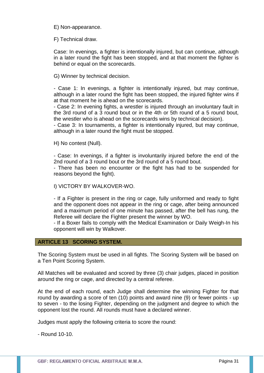E) Non-appearance.

F) Technical draw.

Case: In evenings, a fighter is intentionally injured, but can continue, although in a later round the fight has been stopped, and at that moment the fighter is behind or equal on the scorecards.

G) Winner by technical decision.

- Case 1: In evenings, a fighter is intentionally injured, but may continue, although in a later round the fight has been stopped, the injured fighter wins if at that moment he is ahead on the scorecards.

- Case 2: In evening fights, a wrestler is injured through an involuntary fault in the 3rd round of a 3 round bout or in the 4th or 5th round of a 5 round bout, the wrestler who is ahead on the scorecards wins by technical decision).

- Case 3: In tournaments, a fighter is intentionally injured, but may continue, although in a later round the fight must be stopped.

H) No contest (Null).

- Case: In evenings, if a fighter is involuntarily injured before the end of the 2nd round of a 3 round bout or the 3rd round of a 5 round bout.

- There has been no encounter or the fight has had to be suspended for reasons beyond the fight).

I) VICTORY BY WALKOVER-WO.

- If a Fighter is present in the ring or cage, fully uniformed and ready to fight and the opponent does not appear in the ring or cage, after being announced and a maximum period of one minute has passed, after the bell has rung, the Referee will declare the Fighter present the winner by WO.

- If a Boxer fails to comply with the Medical Examination or Daily Weigh-In his opponent will win by Walkover.

## **ARTICLE 13 SCORING SYSTEM.**

The Scoring System must be used in all fights. The Scoring System will be based on a Ten Point Scoring System.

All Matches will be evaluated and scored by three (3) chair judges, placed in position around the ring or cage, and directed by a central referee.

At the end of each round, each Judge shall determine the winning Fighter for that round by awarding a score of ten (10) points and award nine (9) or fewer points - up to seven - to the losing Fighter, depending on the judgment and degree to which the opponent lost the round. All rounds must have a declared winner.

Judges must apply the following criteria to score the round:

- Round 10-10.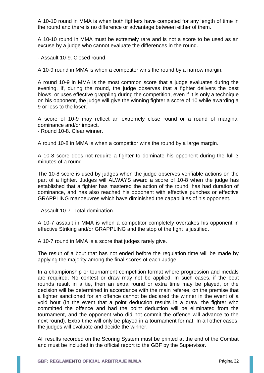A 10-10 round in MMA is when both fighters have competed for any length of time in the round and there is no difference or advantage between either of them.

A 10-10 round in MMA must be extremely rare and is not a score to be used as an excuse by a judge who cannot evaluate the differences in the round.

- Assault 10-9. Closed round.

A 10-9 round in MMA is when a competitor wins the round by a narrow margin.

A round 10-9 in MMA is the most common score that a judge evaluates during the evening. If, during the round, the judge observes that a fighter delivers the best blows, or uses effective grappling during the competition, even if it is only a technique on his opponent, the judge will give the winning fighter a score of 10 while awarding a 9 or less to the loser.

A score of 10-9 may reflect an extremely close round or a round of marginal dominance and/or impact.

- Round 10-8. Clear winner.

A round 10-8 in MMA is when a competitor wins the round by a large margin.

A 10-8 score does not require a fighter to dominate his opponent during the full 3 minutes of a round.

The 10-8 score is used by judges when the judge observes verifiable actions on the part of a fighter. Judges will ALWAYS award a score of 10-8 when the judge has established that a fighter has mastered the action of the round, has had duration of dominance, and has also reached his opponent with effective punches or effective GRAPPLING manoeuvres which have diminished the capabilities of his opponent.

- Assault 10-7. Total domination.

A 10-7 assault in MMA is when a competitor completely overtakes his opponent in effective Striking and/or GRAPPLING and the stop of the fight is justified.

A 10-7 round in MMA is a score that judges rarely give.

The result of a bout that has not ended before the regulation time will be made by applying the majority among the final scores of each Judge.

In a championship or tournament competition format where progression and medals are required, No contest or draw may not be applied. In such cases, if the bout rounds result in a tie, then an extra round or extra time may be played, or the decision will be determined in accordance with the main referee, on the premise that a fighter sanctioned for an offence cannot be declared the winner in the event of a void bout (In the event that a point deduction results in a draw, the fighter who committed the offence and had the point deduction will be eliminated from the tournament, and the opponent who did not commit the offence will advance to the next round). Extra time will only be played in a tournament format. In all other cases, the judges will evaluate and decide the winner.

All results recorded on the Scoring System must be printed at the end of the Combat and must be included in the official report to the GBF by the Supervisor.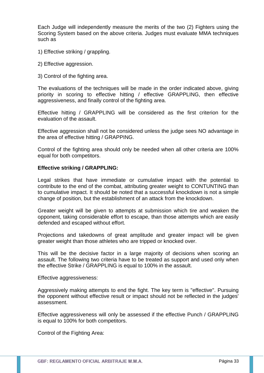Each Judge will independently measure the merits of the two (2) Fighters using the Scoring System based on the above criteria. Judges must evaluate MMA techniques such as

- 1) Effective striking / grappling.
- 2) Effective aggression.
- 3) Control of the fighting area.

The evaluations of the techniques will be made in the order indicated above, giving priority in scoring to effective hitting / effective GRAPPLING, then effective aggressiveness, and finally control of the fighting area.

Effective hitting / GRAPPLING will be considered as the first criterion for the evaluation of the assault.

Effective aggression shall not be considered unless the judge sees NO advantage in the area of effective hitting / GRAPPING.

Control of the fighting area should only be needed when all other criteria are 100% equal for both competitors.

## **Effective striking / GRAPPLING:**

Legal strikes that have immediate or cumulative impact with the potential to contribute to the end of the combat, attributing greater weight to CONTUNTING than to cumulative impact. It should be noted that a successful knockdown is not a simple change of position, but the establishment of an attack from the knockdown.

Greater weight will be given to attempts at submission which tire and weaken the opponent, taking considerable effort to escape, than those attempts which are easily defended and escaped without effort.

Projections and takedowns of great amplitude and greater impact will be given greater weight than those athletes who are tripped or knocked over.

This will be the decisive factor in a large majority of decisions when scoring an assault. The following two criteria have to be treated as support and used only when the effective Strike / GRAPPLING is equal to 100% in the assault.

Effective aggressiveness:

Aggressively making attempts to end the fight. The key term is "effective". Pursuing the opponent without effective result or impact should not be reflected in the judges' assessment.

Effective aggressiveness will only be assessed if the effective Punch / GRAPPLING is equal to 100% for both competitors.

Control of the Fighting Area: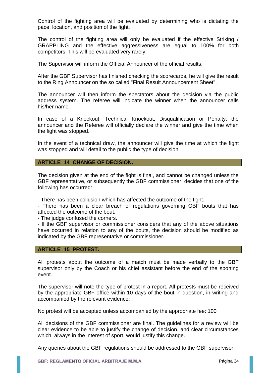Control of the fighting area will be evaluated by determining who is dictating the pace, location, and position of the fight.

The control of the fighting area will only be evaluated if the effective Striking / GRAPPLING and the effective aggressiveness are equal to 100% for both competitors. This will be evaluated very rarely.

The Supervisor will inform the Official Announcer of the official results.

After the GBF Supervisor has finished checking the scorecards, he will give the result to the Ring Announcer on the so called "Final Result Announcement Sheet".

The announcer will then inform the spectators about the decision via the public address system. The referee will indicate the winner when the announcer calls his/her name.

In case of a Knockout, Technical Knockout, Disqualification or Penalty, the announcer and the Referee will officially declare the winner and give the time when the fight was stopped.

In the event of a technical draw, the announcer will give the time at which the fight was stopped and will detail to the public the type of decision.

## **ARTICLE 14 CHANGE OF DECISION.**

The decision given at the end of the fight is final, and cannot be changed unless the GBF representative, or subsequently the GBF commissioner, decides that one of the following has occurred:

- There has been collusion which has affected the outcome of the fight.

- There has been a clear breach of regulations governing GBF bouts that has affected the outcome of the bout.

- The judge confused the corners.

- If the GBF supervisor or commissioner considers that any of the above situations have occurred in relation to any of the bouts, the decision should be modified as indicated by the GBF representative or commissioner.

#### **ARTICLE 15 PROTEST.**

All protests about the outcome of a match must be made verbally to the GBF supervisor only by the Coach or his chief assistant before the end of the sporting event.

The supervisor will note the type of protest in a report. All protests must be received by the appropriate GBF office within 10 days of the bout in question, in writing and accompanied by the relevant evidence.

No protest will be accepted unless accompanied by the appropriate fee: 100

All decisions of the GBF commissioner are final. The guidelines for a review will be clear evidence to be able to justify the change of decision, and clear circumstances which, always in the interest of sport, would justify this change.

Any queries about the GBF regulations should be addressed to the GBF supervisor.